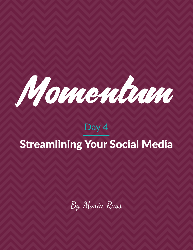

# Day 4 Streamlining Your Social Media

By Maria Ross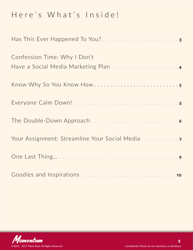# Here's What's Inside!

| Has This Ever Happened To You?3                                      |
|----------------------------------------------------------------------|
| Confession Time: Why I Don't<br>Have a Social Media Marketing Plan 4 |
|                                                                      |
|                                                                      |
|                                                                      |
| Your Assignment: Streamline Your Social Media                        |
|                                                                      |
|                                                                      |

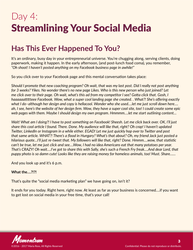# <span id="page-2-0"></span>Day 4: Streamlining Your Social Media

### **Has This Ever Happened To You?**

It's an ordinary, busy day in your entrepreneurial universe. You're chugging along, serving clients, doing paperwork, making it happen. In the early afternoon, (and post-lunch food coma), you remember, *"Oh shoot! I haven't posted anything on my Facebook business page in awhile!"*

So you click over to your Facebook page and this mental conversation takes place:

S*hould I promote that new coaching program? Oh wait, that was my last post. Did I really not post anything for 3 weeks? Yikes. No wonder there's no new page Likes. Who is this new person who just joined? Let me click over to their page. Oh wait, what's this ad from my competitor I see? Gotta click that. Gosh, I haaaaaattttteee Facebook. Wow, what a super cool landing page she created. . What?! She's offering exactly what I do–although her design and copy is hellacool. Wonder who she used….let me just scroll down here…. ah, I see, here's the website of her design firm. Wow, they have a super cool site, too! I could create some epic web pages with them. Maybe I should design my own program. Hmmmm….let me start outlining content…*

*Wait! What am I doing?! I have to post something on Facebook! Sheesh. Let me click back over. OK, I'll just share this cool article I found. There. Done. My audience will like that, right? Oh crap! I haven't updated Twitter, LinkedIn or Instagram in a while either. EGAD! Let me just quickly hop over to Twitter and post that same article. WHAT?! There's a flood in Hungary? What's that about? Oh, my friend Jack just posted a hilarious quote…I'll just re-tweet that. My followers will like that, right? Done. Hmmm….wow, that statistic can't be true, let me just click and see….Wow, I had no idea Americans eat that many potatoes per year. That's CRAZY! Oh wait….I've got to share this with Sally, she's such a French Fry freak….And dear Lord, that puppy photo is so damn cute! Looks like they are raising money for homeless animals, too! Must. Share……*

And you look up and it's 6 p.m.

#### **What the….?!?!**

That's quite the "social media marketing plan" we have going on, isn't it?

It ends for you today. Right here, right now. At least as far as your business is concerned….if you want to get lost on social media in your free time, that's your call!

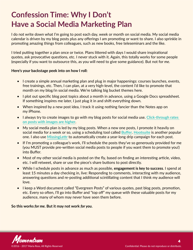## <span id="page-3-0"></span>**Confession Time: Why I Don't Have a Social Media Marketing Plan**

I do not write down what I'm going to post each day, week or month on social media. My social media calendar is driven by my blog posts plus any offerings I am promoting or want to share. I also sprinkle in promoting amazing things from colleagues, such as new books, free teleseminars and the like.

I tried putting together a plan once or twice. Plans littered with days I would share inspirational quotes, ask provocative questions, etc. I never stuck with it. Again, this totally works for some people (especially if you want to outsource this, as you will need to give some guidance). But not for *me*.

#### **Here's your backstage peek into on how I roll:**

- I create a simple annual marketing plan and plug in major happenings: courses launches, events, free trainings, etc. Then, I can plan, at a very high-level, the content I'd like to promote that month on my blog/in social media. We're talking big bucket themes here.
- I plot out specific blog post topics about a month in advance, using a Google Docs spreadsheet. If something inspires me later, I just plug it in and shift everything down.
- When inspired by a new post idea, I track it using nothing fancier than the Notes app on my iPhone.
- I always try to create images to go with my blog posts for social media use. **[Click-through rates](https://www.impactbnd.com/blog/5-social-media-hacks-to-increase-your-click-through-rates)  [on posts with images are higher](https://www.impactbnd.com/blog/5-social-media-hacks-to-increase-your-click-through-rates)**.
- My social media plan is led by my blog posts. When a new one posts, I promote it heavily on social media for a week or so, using a scheduling tool called **[Buffer](http://www.bufferapp.com/)**. **[Hootsuite](http://www.hootsuite.com/)** is another popular one. I also use **[MissingLettr](http://missinglettr.com/?ac=gQR22OcB)** to automatically create a year-long drip campaign for each post.
- If I'm promoting a colleague's work, I'll schedule the posts they've so generously provided for me (you MUST provide pre-written social media posts to people if you want them to promote you!) into Buffer.
- Most of my other social media is posted on the fly, based on finding an interesting article, video, etc. I will retweet, share or use the piece's share buttons to post directly.
- While I schedule posts in advance as much as possible, **engagement is key to success**. I spend at least 15 minutes a day checking in, live: Responding to comments, interacting with my audience, answering questions and re-posting additional scintillating content that I think my audience will love.
- I keep a Word document called "Evergreen Posts" of various quotes, past blog posts, promotion, etc. Every so often, I'll go into Buffer and "top off" my queue with these valuable posts for my audience, many of whom may never have seen them before.

#### **So this works** *for me.* **But it may not work** *for you***.**

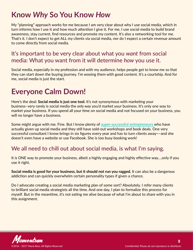### <span id="page-4-0"></span>**Know** *Why* **So You Know** *How*

My "planning" approach works for me because I am very clear about why I use social media, which in turn informs how I use it and how much attention I give it. For me, I use social media to build brand awareness, stay current, find resources and promote my content. It's also a networking tool for me. That's it. I don't expect to get ALL my clients via social media, nor do I expect a certain revenue amount to come directly from social media.

### It's important to be very clear about what you *want* from social media: What you want from it will determine *how* you use it.

Social media, especially in my profession and with my audience, helps people get to know me so that they can start down the buying journey. I'm wooing them with good content. It's a courtship. And for me, social media is just the start.

### **Everyone Calm Down!**

Here's the deal: **Social media is just one tool.** It's not synonymous with marketing your business–very rarely is social media the *only way* you'd market your business. It's only one way to market your business. If you spend all your time on social media and not focused on your business, you will no longer have a business.

Some might argue with me. Fine. But I know plenty of **[super-successful entrepreneurs](http://www.alexandrafranzen.com/)** who have actually given up social media and they still have sold-out workshops and book deals. One very successful consultant I know brings in six figures every year and has to turn clients away¬–and she doesn't even have a website or use Facebook. She is too busy booking work!

### We all need to chill out about social media, is what I'm saying.

It is ONE way to promote your business, albeit a highly engaging and highly effective way….only if you use it right.

**Social media is good for your business, but it should not run you ragged.** It can also be a dangerous addiction and can quickly overwhelm certain personality types if given a chance.

Do I advocate creating a social media marketing plan of some sort? Absolutely. I refer many clients to brilliant social media strategists all the time. And one day, I plan to formalize this process for myself. But in the meantime, it's not eating me alive because of what I'm about to share with you in this assignment.

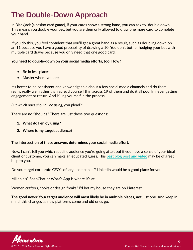# <span id="page-5-0"></span>**The Double-Down Approach**

In Blackjack (a casino card game), if your cards show a strong hand, you can ask to "double down. This means you double your bet, but you are then only allowed to draw one more card to complete your hand.

If you do this, you feel confident that you'll get a great hand as a result, such as doubling down on an 11 because you have a good probability of drawing a 10. You don't bother hedging your bet with multiple card draws because you only need that one good card.

#### **You need to double-down on your social media efforts, too. How?**

- Be in less places
- Master where you are

It's better to be consistent and knowledgeable about a few social media channels and do them really, really well rather than spread yourself thin across 19 of them and do it all poorly, never getting engagement or return. And killing yourself in the process.

*But which ones should I be using,* you plead?!

There are no "shoulds." There are just these two questions:

- **1. What do I enjoy using?**
- **2. Where is my target audience?**

#### **The intersection of these answers determines your social media effort.**

Now, I can't tell you which specific audience you're going after, but if you have a sense of your ideal client or customer, you can make an educated guess. This **[past blog post and video](http://red-slice.com/2013/07/how-to-define-your-target-market-channel-your-inner-aaron-sorkin/)** may be of great help to you.

Do you target corporate CEO's of large companies? LinkedIn would be a good place for you.

Millenials? SnapChat or What's App is where it's at.

Women crafters, cooks or design freaks? I'd bet my house they are on Pinterest.

**The good news: Your target audience will most likely be in multiple places, not just one.** And keep in mind, this changes as new platforms come and old ones go.

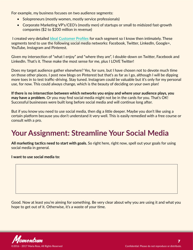<span id="page-6-0"></span>For example, my business focuses on two audience segments:

- Solopreneurs (mostly women, mostly service professionals)
- Corporate Marketing VP's/CEO's (mostly men) of startups or small to midsized fast-growth companies (\$2 to \$200 million in revenue)

 I created very detailed **[Ideal Customer Profiles](http://red-slice.com/2013/07/how-to-define-your-target-market-channel-your-inner-aaron-sorkin/)** for each segment so I know then intimately. These segments tend to use the following social media networks: Facebook, Twitter, LinkedIn, Google+, YouTube, Instagram and Pinterest.

Given my intersection of "what I enjoy" and "where they are", I double-down on Twitter, Facebook and LinkedIn. That's it. These make the most sense for me, plus I LOVE Twitter!

Does my target audience gather elsewhere? Yes, for sure, but I have chosen not to devote much time on those other places. I post new blogs on Pinterest but that's as far as I go, although I will be dipping more toes in to test traffic-driving. Stay tuned. Instagram could be valuable but it's only for my personal use, for now. This could always change, which is the beauty of deciding on your own plan!

**If there is no intersection between which networks you enjoy and where your audience plays, you may have a problem.** Or you may find social media might not be in the cards for you. That's OK! Successful businesses were built long before social media and will continue long after.

But if you know you need to use social media, then dig a little deeper. Maybe you don't like using a certain platform because you don't understand it very well. This is easily remedied with a free course or consult with a pro.

# **Your Assignment: Streamline Your Social Media**

**All marketing tactics need to start with goals.** So right here, right now, spell out your goals for using social media in general.

**I want to use social media to:**

Good. Now at least you're aiming for something. Be very clear about why you are using it and what you hope to get out of it. Otherwise, it's a waste of your time.

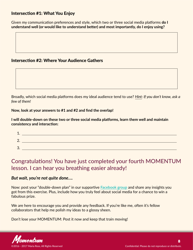#### Intersection #1: What You Enjoy

Given my communication preferences and style, which two or three social media platforms **do I understand well (or would like to understand better) and most importantly, do I enjoy using?** 

#### Intersection #2: Where Your Audience Gathers

Broadly, which social media platforms does my ideal audience tend to use? *Hint: If you don't know, ask a few of them!*

#### **Now, look at your answers to #1 and #2 and find the overlap!**

**I will double-down on these two or three social media platforms, learn them well and maintain consistency and interaction:**

| л<br>л. |  |
|---------|--|
| n<br>z. |  |
| っ<br>ັ  |  |

### Congratulations! You have just completed your fourth MOMENTUM lesson. I can hear you breathing easier already!

#### *But wait, you're not quite done….*

Now: post your "double-down plan" in our supportive **[Facebook group](https://www.facebook.com/groups/238333860005596/)** and share any insights you got from this exercise. Plus, include how you truly feel about social media for a chance to win a fabulous prize.

We are here to encourage you and provide any feedback. If you're like me, often it's fellow collaborators that help me polish my ideas to a glossy sheen.

Don't lose your MOMENTUM: Post it now and keep that train moving!

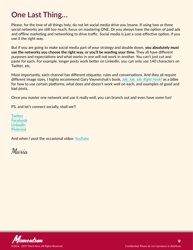### <span id="page-8-0"></span>**One Last Thing…**

Please, for the love of all things holy, do not let social media drive you insane. If using two or three social networks are still too much, focus on mastering ONE. Or you always have the option of paid ads and offline marketing and networking to drive traffic. Social media is just a cost-effective option, if you use it the right way.

But if you are going to make social media part of your strategy and double down, **you absolutely must use the networks you choose the right way, or you'll be wasting your time.** They all have different purposes and expectations and what works in one will not work in another. You can't just cut and paste for each. For example, longer posts work better on LinkedIn, you can only use 140 characters on Twitter, etc.

Most importantly, each channel has different etiquette, rules and conversations. And they all require different image sizes. I highly recommend Gary Vaynerchuk's book, *[Jab, Jab, Jab, Right Hook!](http://amzn.to/1Z5SMrD)* as a bible for how to use certain platforms, what does and doesn't work well on each, and examples of good and bad posts.

Once you master one network and use it really well, you can branch out and even have some fun!

PS, and let's connect socially, shall we?!

**[Twitter](http://www.twitter.com/redslice) [Facebook](http://www.facebook.com/redslice) [LinkedIn](https://www.linkedin.com/in/mariajross) [Pinterest](http://www.pinterest.com/mariaross1/)**

And when I post the occasional video: **[YouTube](https://www.youtube.com/user/mariajross)**

Maria